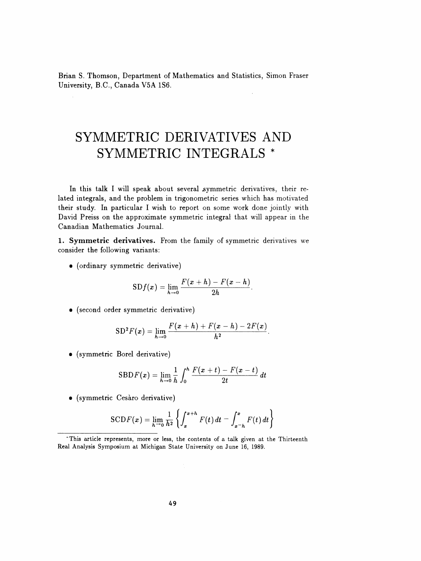Brian S. Thomson, Department of Mathematics and Statistics, Simon Fraser University, B.C., Canada V5A 1S6.

## SYMMETRIC DERIVATIVES AND SYMMETRIC INTEGRALS \*

In this talk I will speak about several symmetric derivatives, their re lated integrals, and the problem in trigonometric series which has motivated their study. In particular I wish to report on some work done jointly with David Preiss on the approximate symmetric integral that will appear in the Canadian Mathematics Journal.

1. Symmetric derivatives. From the family of symmetric derivatives we consider the following variants:

• (ordinary symmetric derivative)

$$
SDf(x) = \lim_{h \to 0} \frac{F(x+h) - F(x-h)}{2h}.
$$

• (second order symmetric derivative)

$$
\mathrm{SD}^2 F(x) = \lim_{h \to 0} \frac{F(x+h) + F(x-h) - 2F(x)}{h^2}.
$$

• (symmetric Borei derivative)

$$
SBDF(x) = \lim_{h \to 0} \frac{1}{h} \int_0^h \frac{F(x+t) - F(x-t)}{2t} dt
$$

• (symmetric Cesaro derivative)

$$
SCDF(x) = \lim_{h \to 0} \frac{1}{h^2} \left\{ \int_x^{x+h} F(t) dt - \int_{x-h}^x F(t) dt \right\}
$$

 <sup>&</sup>quot;This article represents, more or less, the contents of a talk given at the Thirteenth Real Analysis Symposium at Michigan State University on June 16, 1989.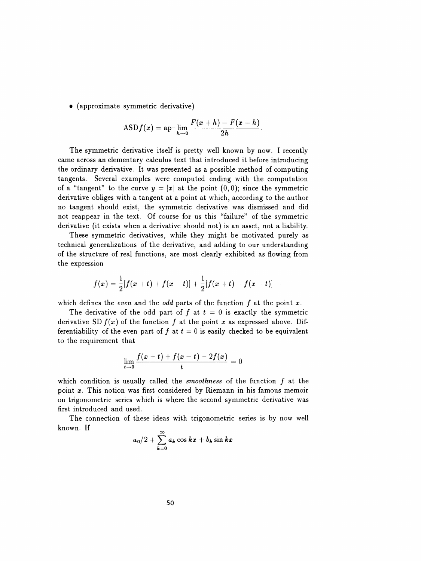• (approximate symmetric derivative)

$$
\text{ASD} f(x) = \text{ap-}\lim_{h \to 0} \frac{F(x+h) - F(x-h)}{2h}
$$

 The symmetric derivative itself is pretty well known by now. I recently came across an elementary calculus text that introduced it before introducing the ordinary derivative. It was presented as a possible method of computing tangents. Several examples were computed ending with the computation of a "tangent" to the curve  $y = |x|$  at the point  $(0,0)$ ; since the symmetric derivative obliges with a tangent at a point at which, according to the author no tangent should exist, the symmetric derivative was dismissed and did not reappear in the text. Of course for us this "failure" of the symmetric derivative (it exists when a derivative should not) is an asset, not a liability.

 These symmetric derivatives, while they might be motivated purely as technical generalizations of the derivative, and adding to our understanding of the structure of real functions, are most clearly exhibited as flowing from of the structure of real functions, are in

$$
f(x)=\frac{1}{2}[f(x+t)+f(x-t)]+\frac{1}{2}[f(x+t)-f(x-t)]
$$

which defines the even and the odd parts of the function  $f$  at the point  $x$ .

The derivative of the odd part of f at  $t = 0$  is exactly the symmetric derivative SD  $f(x)$  of the function f at the point x as expressed above. Difderivative  $3Df(x)$  of the function f at the point x as expressed above. Differentiability of the even part of f at  $t = 0$  is easily checked to be equivalent to the requirement that<br>to the requirement that

$$
\lim_{t\to 0}\frac{f(x+t)+f(x-t)-2f(x)}{t}=0
$$

 $\lim_{t\to 0}\frac{f(x+t)+f(x-t)-2f(x)}{t}=0$  which condition is usually called the *smoothness* of the function  $f$  at the point  $x$ . This notion was first considered by Riemann in his famous memoir which condition is usually called the *smoothness* of the function  $f$  at the point  $x$ . This notion was first considered by Riemann in his famous memoir on trigonometric series which is where the second symmetric derivat which condition is usually called the *smoothness* of the function  $f$  at the point  $x$ . This notion was first considered by Riemann in his famous memoir on trigonometric series which is where the second symmetric derivat first introduced and used.

 The connection of these ideas with trigonometric series is by now well known. If

$$
a_0/2+\sum_{k=0}^\infty a_k\cos kx+b_k\sin kx
$$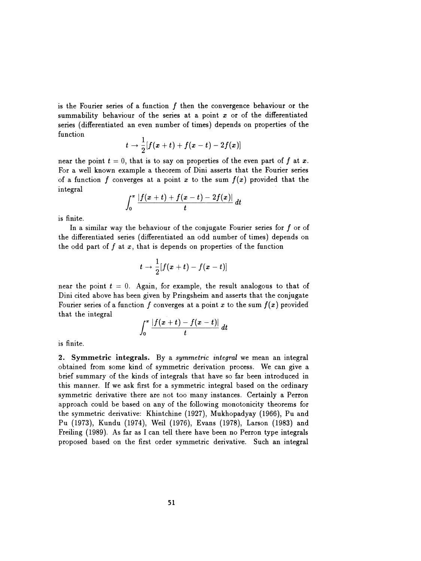is the Fourier series of a function  $f$  then the convergence behaviour or the summability behaviour of the series at a point  $x$  or of the differentiated series (differentiated an even number of times) depends on properties of the function

$$
t\rightarrow \frac{1}{2}[f(x+t)+f(x-t)-2f(x)]
$$

near the point  $t = 0$ , that is to say on properties of the even part of f at x. For a well known example a theorem of Dini asserts that the Fourier series of a function f converges at a point x to the sum  $f(x)$  provided that the integral

$$
\int_0^{\pi} \frac{|f(x+t)+f(x-t)-2f(x)|}{t} dt
$$

is finite.

In a similar way the behaviour of the conjugate Fourier series for  $f$  or of the differentiated series (differentiated an odd number of times) depends on the odd part of  $f$  at  $x$ , that is depends on properties of the function

$$
t\to \frac{1}{2}[f(x+t)-f(x-t)]
$$

near the point  $t = 0$ . Again, for example, the result analogous to that of Dini cited above has been given by Pringsheim and asserts that the conjugate Fourier series of a function f converges at a point x to the sum  $f(x)$  provided that the integral<br>that the integral  $\int_{-\pi}^{\pi} |f(x+1)| f(x)$ 

$$
\int_0^{\pi} \frac{|f(x+t)-f(x-t)|}{t} dt
$$

is finite.

2. Symmetric integrals. By a symmetric integral we mean an integral obtained from some kind of symmetric derivation process. We can give a brief summary of the kinds of integrals that have so far been introduced in this manner. If we ask first for a symmetric integral based on the ordinary symmetric derivative there are not too many instances. Certainly a Perron approach could be based on any of the following monotonicity theorems for the symmetric derivative: Khintchine (1927), Mukhopadyay (1966), Pu and Pu (1973), Kundu (1974), Weil (1976), Evans (1978), Larson (1983) and Freiling (1989). As far as I can tell there have been no Perron type integrals proposed based on the first order symmetric derivative. Such an integral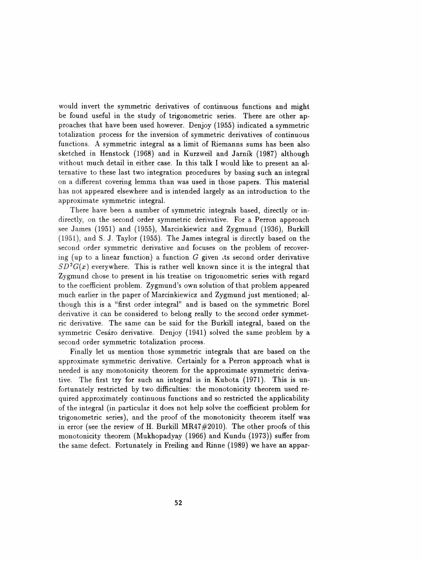would invert the symmetric derivatives of continuous functions and might be found useful in the study of trigonometric series. There are other ap proaches that have been used however. Denjoy (1955) indicated a symmetric totalization process for the inversion of symmetric derivatives of continuous functions. A symmetric integral as a limit of Riemanns sums has been also sketched in Henstock (1968) and in Kurzweil and Jarník (1987) although without much detail in either case. In this talk I would like to present an al ternative to these last two integration procedures by basing such an integral on a different covering lemma than was used in those papers. This material has not appeared elsewhere and is intended largely as an introduction to the approximate symmetric integral.

 There have been a number of symmetric integrals based, directly or in directly, on the second order symmetric derivative. For a Perron approach see James (1951) and (1955), Marcinkiewicz and Zygmund (1936), Burkill (1951), and S. J. Taylor (1955). The James integral is directly based on the second order symmetric derivative and focuses on the problem of recover ing (up to a linear function) a function  $G$  given its second order derivative  $SD^2G(x)$  everywhere. This is rather well known since it is the integral that Zygmund chose to present in his treatise on trigonometric series with regard to the coefficient problem. Zygmund's own solution ofthat problem appeared much earlier in the paper of Marcinkiewicz and Zygmund just mentioned; al though this is a "first order integral" and is based on the symmetric Borei derivative it can be considered to belong really to the second order symmet ric derivative. The same can be said for the Burkill integral, based on the symmetric Cesáro derivative. Denjoy (1941) solved the same problem by a second order symmetric totalization process.

 Finally let us mention those symmetric integrals that are based on the approximate symmetric derivative. Certainly for a Perron approach what is needed is any monotonicity theorem for the approximate symmetric deriva tive. The first try for such an integral is in Kubota (1971). This is un fortunately restricted by two difficulties: the monotonicity theorem used re quired approximately continuous functions and so restricted the applicability of the integral (in particular it does not help solve the coefficient problem for trigonometric series), and the proof of the monotonicity theorem itself was in error (see the review of H. Burkill MR47#2010). The other proofs of this monotonicity theorem (Mukhopadyay (1966) and Kundu (1973)) suffer from the same defect. Fortunately in Freiling and Rinne (1989) we have an appar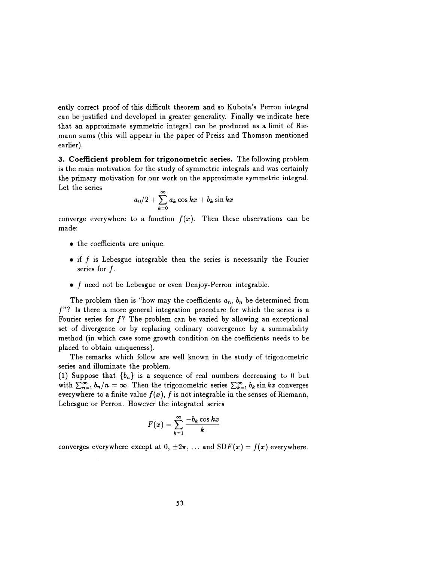ently correct proof of this difficult theorem and so Kubota's Perron integral can be justified and developed in greater generality. Finally we indicate here that an approximate symmetric integral can be produced as a limit of Rie mann sums (this will appear in the paper of Preiss and Thomson mentioned earlier).

 3, Coefficient problem for trigonometric series. The following problem is the main motivation for the study of symmetric integrals and was certainly the primary motivation for our work on the approximate symmetric integral. Let the series

$$
a_0/2+\sum_{k=0}^\infty a_k\cos kx+b_k\sin kx
$$

converge everywhere to a function  $f(x)$ . Then these observations can be made:

- the coefficients are unique.
- $\bullet$  if  $f$  is Lebesgue integrable then the series is necessarily the Fourier series for  $f$ .
- $\bullet$  f need not be Lebesgue or even Denjoy-Perron integrable.

The problem then is "how may the coefficients  $a_n$ ,  $b_n$  be determined from  $f$ "? Is there a more general integration procedure for which the series is a Fourier series for  $f$ ? The problem can be varied by allowing an exceptional set of divergence or by replacing ordinary convergence by a summability method (in which case some growth condition on the coefficients needs to be placed to obtain uniqueness).

 The remarks which follow are well known in the study of trigonometric series and illuminate the problem.

(1) Suppose that  $\{b_n\}$  is a sequence of real numbers decreasing to 0 but with  $\sum_{n=1}^{\infty} b_n/n = \infty$ . Then the trigonometric series  $\sum_{k=1}^{\infty} b_k \sin kx$  converges everywhere to a finite value  $f(x)$ , f is not integrable in the senses of Riemann, Lebesgue or Perron. However the integrated series

$$
F(x) = \sum_{k=1}^{\infty} \frac{-b_k \cos kx}{k}
$$

converges everywhere except at  $0, \pm 2\pi, \ldots$  and  $SDF(x) = f(x)$  everywhere.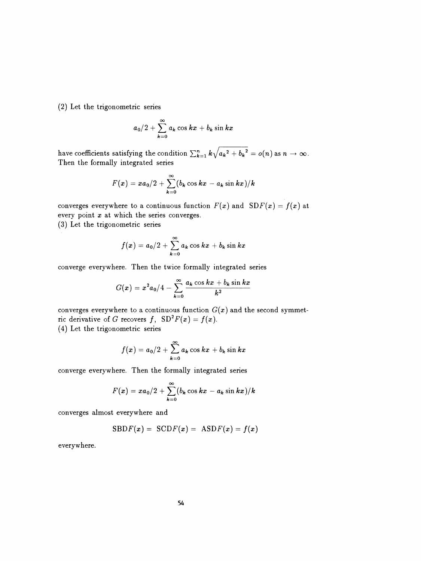(2) Let the trigonometric series

$$
a_0/2+\sum_{k=0}^\infty a_k\cos kx+b_k\sin kx
$$

have coefficients satisfying the condition  $\sum_{k=1}^{n} k \sqrt{a_k^2 + b_k^2} = o(n)$  as  $n \to \infty$ . Then the formally integrated series

$$
F(x) = xa_0/2 + \sum_{k=0}^{\infty} (b_k \cos kx - a_k \sin kx)/k
$$

converges everywhere to a continuous function  $F(x)$  and  $SDF(x) = f(x)$  at every point  $x$  at which the series converges.

(3) Let the trigonometric series

$$
f(x) = a_0/2 + \sum_{k=0}^{\infty} a_k \cos kx + b_k \sin kx
$$

converge everywhere. Then the twice formally integrated series

$$
G(x)=x^2a_0/4-\sum_{k=0}^\infty \frac{a_k\cos kx+b_k\sin kx}{k^2}
$$

converges everywhere to a continuous function  $G(x)$  and the second symmet-<br>ric derivative of G recovers  $f_{\text{S}} \Omega^2 F(x) - f(x)$ converges everywhere to a continuous function  $G(x)$  and the second symmet-<br>ric derivative of G recovers f,  $SD^2F(x) = f(x)$ .<br>(4) Let the trigonometric series ric derivative of G recovers f,  $SD^2F(x) = f(x)$ .

$$
f(x) = a_0/2 + \sum_{k=0}^{\infty} a_k \cos kx + b_k \sin kx
$$

converge everywhere. Then the formally integrated series

$$
F(x) = xa_0/2 + \sum_{k=0}^{\infty} (b_k \cos kx - a_k \sin kx)/k
$$

converges almost everywhere and

$$
SBDF(x) = SCDF(x) = ASDF(x) = f(x)
$$

everywhere.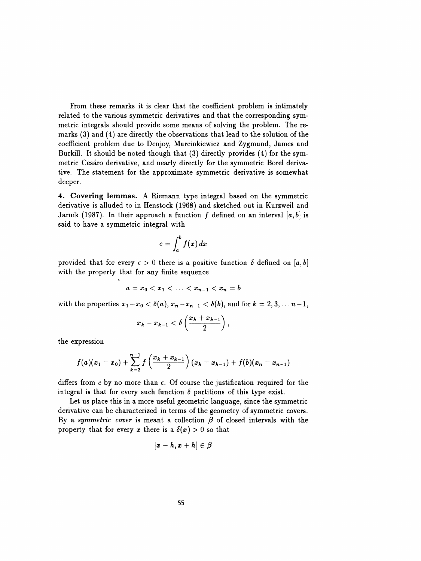From these remarks it is clear that the coefficient problem is intimately related to the various symmetric derivatives and that the corresponding sym metric integrals should provide some means of solving the problem. The re marks (3) and (4) are directly the observations that lead to the solution of the coefficient problem due to Denjoy, Marcinkiewicz and Zygmund, James and Burkill. It should be noted though that (3) directly provides (4) for the sym metric Cesaro derivative, and nearly directly for the symmetric Borei deriva tive. The statement for the approximate symmetric derivative is somewhat deeper.

 4. Covering lemmas. A Riemann type integral based on the symmetric derivative is alluded to in Henstock (1968) and sketched out in Kurzweil and Jarník (1987). In their approach a function f defined on an interval [a, b] is said to have a symmetric integral with

$$
c=\int_a^b f(x)\,dx
$$

provided that for every  $\epsilon > 0$  there is a positive function  $\delta$  defined on [a, b] with the property that for any finite sequence

$$
a = x_0 < x_1 < \ldots < x_{n-1} < x_n = b
$$

with the properties  $x_1 - x_0 < \delta(a)$ ,  $x_n - x_{n-1} < \delta(b)$ , and for  $k = 2, 3, \ldots n-1$ ,

$$
x_k-x_{k-1}<\delta\left(\frac{x_k+x_{k-1}}{2}\right),\,
$$

the expression

$$
f(a)(x_1-x_0)+\sum_{k=2}^{n-1}f\left(\frac{x_k+x_{k-1}}{2}\right)(x_k-x_{k-1})+f(b)(x_n-x_{n-1})
$$

differs from c by no more than  $\epsilon$ . Of course the justification required for the integral is that for every such function  $\delta$  partitions of this type exist.

 Let us place this in a more useful geometric language, since the symmetric derivative can be characterized in terms of the geometry of symmetric covers. By a symmetric cover is meant a collection  $\beta$  of closed intervals with the property that for every x there is a  $\delta(x) > 0$  so that

$$
[\pmb{x}-\pmb{h},\pmb{x}+\pmb{h}]\in\pmb{\beta}
$$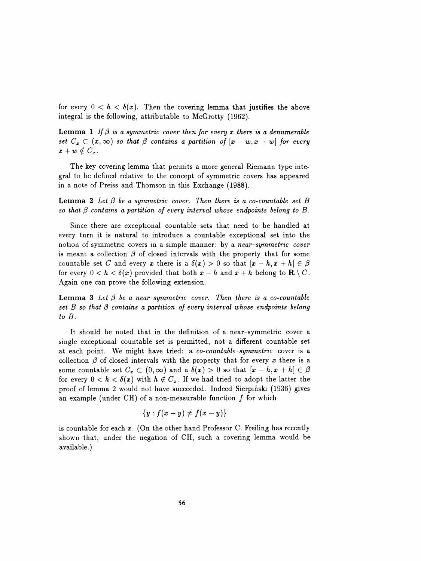for every  $0 < h < \delta(x)$ . Then the covering lemma that justifies the above integral is the following, attributable to McGrotty (1962).

**Lemma 1** If  $\beta$  is a symmetric cover then for every x there is a denumerable set  $C_x \subset (x, \infty)$  so that  $\beta$  contains a partition of  $[x - w, x + w]$  for every  $x + w \notin C_x$ .

 The key covering lemma that permits a more general Riemann type inte gral to be defined relative to the concept of symmetric covers has appeared in a note of Preiss and Thomson in this Exchange (1988).

**Lemma 2** Let  $\beta$  be a symmetric cover. Then there is a co-countable set B so that  $\beta$  contains a partition of every interval whose endpoints belong to B.

 Since there are exceptional countable sets that need to be handled at every turn it is natural to introduce a countable exceptional set into the notion of symmetric covers in a simple manner: by a near-symmetric cover is meant a collection  $\beta$  of closed intervals with the property that for some countable set C and every x there is a  $\delta(x) > 0$  so that  $[x - h, x + h] \in \beta$ for every  $0 < h < \delta(x)$  provided that both  $x - h$  and  $x + h$  belong to  $\mathbb{R} \setminus C$ . Again one can prove the following extension.

**Lemma 3** Let  $\beta$  be a near-symmetric cover. Then there is a co-countable set  $B$  so that  $\beta$  contains a partition of every interval whose endpoints belong to B.

 It should be noted that in the definition of a near-symmetric cover a single exceptional countable set is permitted, not a different countable set at each point. We might have tried: a co-countable-symmetric cover is a collection  $\beta$  of closed intervals with the property that for every x there is a some countable set  $C_x \subset (0,\infty)$  and a  $\delta(x) > 0$  so that  $[x - h, x + h] \in \beta$ for every  $0 < h < \delta(x)$  with  $h \notin C_x$ . If we had tried to adopt the latter the proof of lemma 2 would not have succeeded. Indeed Sierpiński (1936) gives an example (under CH) of a non-measurable function  $f$  for which

$$
\{y: f(x+y) \neq f(x-y)\}
$$

is countable for each  $x$ . (On the other hand Professor C. Freiling has recently shown that, under the negation of CH, such a covering lemma would be available.)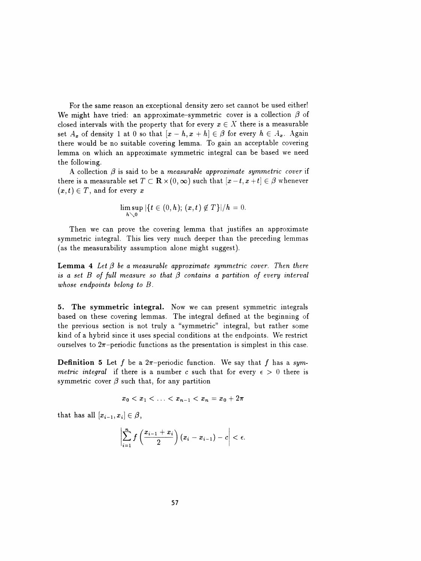For the same reason an exceptional density zero set cannot be used either! We might have tried: an approximate-symmetric cover is a collection  $\beta$  of closed intervals with the property that for every  $x \in X$  there is a measurable set  $A_x$  of density 1 at 0 so that  $[x-h, x+h] \in \beta$  for every  $h \in A_x$ . Again there would be no suitable covering lemma. To gain an acceptable covering lemma on which an approximate symmetric integral can be based we need the following.

A collection  $\beta$  is said to be a measurable approximate symmetric cover if there is a measurable set  $T \subset \mathbf{R} \times (0, \infty)$  such that  $[x - t, x + t] \in \beta$  whenever  $(x,t) \in T$ , and for every x

$$
\limsup_{h\searrow 0} |\{t\in (0,h);\ (x,t)\not\in T\}|/h=0.
$$

 Then we can prove the covering lemma that justifies an approximate symmetric integral. This lies very much deeper than the preceding lemmas (as the measurability assumption alone might suggest).

**Lemma 4** Let  $\beta$  be a measurable approximate symmetric cover. Then there is a set B of full measure so that  $\beta$  contains a partition of every interval whose endpoints belong to B.

 5. The symmetric integral. Now we can present symmetric integrals based on these covering lemmas. The integral defined at the beginning of the previous section is not truly a "symmetric" integral, but rather some kind of a hybrid since it uses special conditions at the endpoints. We restrict ourselves to  $2\pi$ -periodic functions as the presentation is simplest in this case.

**Definition 5** Let f be a  $2\pi$ -periodic function. We say that f has a symmetric integral if there is a number c such that for every  $\epsilon > 0$  there is symmetric cover  $\beta$  such that, for any partition

$$
x_0 < x_1 < \ldots < x_{n-1} < x_n = x_0 + 2\pi
$$

that has all  $[x_{i-1}, x_i] \in \beta$ ,

$$
\left|\sum_{i=1}^n f\left(\frac{x_{i-1}+x_i}{2}\right)(x_i-x_{i-1})-c\right|<\epsilon.
$$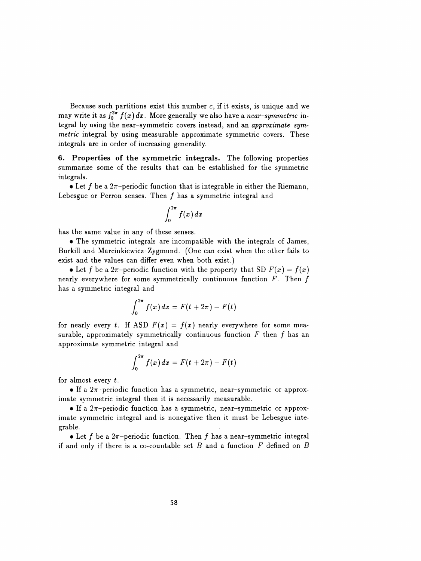Because such partitions exist this number  $c$ , if it exists, is unique and we may write it as  $\int_0^{2\pi} f(x) dx$ . More generally we also have a near-symmetric in tegral by using the near-symmetric covers instead, and an approximate sym metric integral by using measurable approximate symmetric covers. These integrals are in order of increasing generality.

 6. Properties of the symmetric integrals. The following properties summarize some of the results that can be established for the symmetric integrals.

• Let f be a  $2\pi$ -periodic function that is integrable in either the Riemann, Lebesgue or Perron senses. Then  $f$  has a symmetric integral and

$$
\int_0^{2\pi} f(x)\,dx
$$

has the same value in any of these senses.

 • The symmetric integrals are incompatible with the integrals of James, Burkill and Marcinkiewicz-Zygmund. (One can exist when the other fails to exist and the values can differ even when both exist.)

• Let f be a  $2\pi$ -periodic function with the property that SD  $F(x) = f(x)$ nearly everywhere for some symmetrically continuous function  $F$ . Then  $f$ has a symmetric integral and

$$
\int_0^{2\pi} f(x) dx = F(t+2\pi) - F(t)
$$

for nearly every t. If ASD  $F(x) = f(x)$  nearly everywhere for some measurable, approximately symmetrically continuous function  $F$  then  $f$  has an approximate symmetric integral and

$$
\int_0^{2\pi} f(x) dx = F(t+2\pi) - F(t)
$$

for almost every  $t$ .

• If a  $2\pi$ -periodic function has a symmetric, near-symmetric or approximate symmetric integral then it is necessarily measurable.

• If a  $2\pi$ -periodic function has a symmetric, near-symmetric or approx imate symmetric integral and is nonegative then it must be Lebesgue inte grable.

• Let f be a  $2\pi$ -periodic function. Then f has a near-symmetric integral if and only if there is a co-countable set  $B$  and a function  $F$  defined on  $B$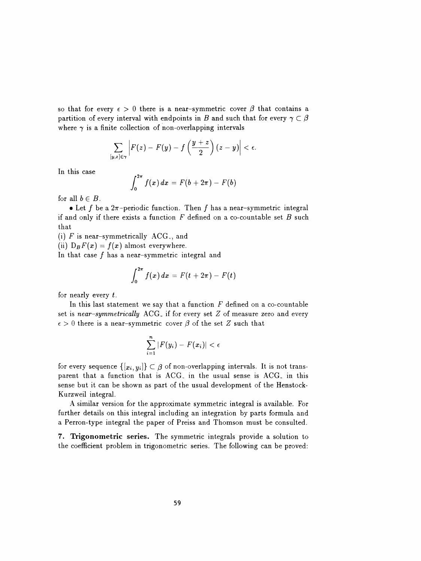so that for every  $\epsilon > 0$  there is a near-symmetric cover  $\beta$  that contains a partition of every interval with endpoints in B and such that for every  $\gamma \subset \beta$ where  $\gamma$  is a finite collection of non-overlapping intervals

$$
\sum_{[y,z]\in\gamma}\left|F(z)-F(y)-f\left(\frac{y+z}{2}\right)(z-y)\right|<\epsilon.
$$

In this case

$$
\int_0^{2\pi} f(x)\,dx\,=\,F(b+2\pi)\,-\,F(b)
$$

for all  $b \in B$ .

• Let f be a  $2\pi$ -periodic function. Then f has a near-symmetric integral if and only if there exists a function  $F$  defined on a co-countable set  $B$  such that

(i) F is near-symmetrically  $ACG<sub>3</sub>$ , and

(ii)  $D_B F(x) = f(x)$  almost everywhere.

In that case  $f$  has a near-symmetric integral and

$$
\int_0^{2\pi} f(x) \, dx = F(t + 2\pi) - F(t)
$$

for nearly every  $t$ .

In this last statement we say that a function  $F$  defined on a co-countable set is near-symmetrically  $AGG<sub>x</sub>$  if for every set Z of measure zero and every  $\epsilon > 0$  there is a near-symmetric cover  $\beta$  of the set Z such that

$$
\sum_{i=1}^n |F(y_i) - F(x_i)| < \epsilon
$$

for every sequence  $\{[x_i,y_i]\}\subset \beta$  of non-overlapping intervals. It is not transparent that a function that is  $AGG<sub>s</sub>$  in the usual sense is  $AGG<sub>s</sub>$  in this sense but it can be shown as part of the usual development of the Henstock- Kurzweil integral.

 A similar version for the approximate symmetric integral is available. For further details on this integral including an integration by parts formula and a Perron-type integral the paper of Preiss and Thomson must be consulted.

 7. Trigonometric series. The symmetric integrals provide a solution to the coefficient problem in trigonometric series. The following can be proved: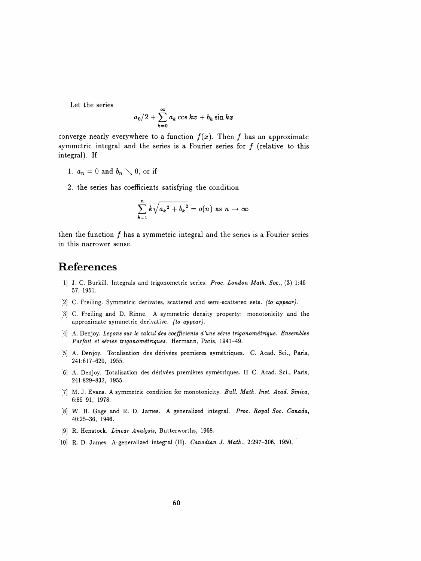Let the series

$$
a_0/2+\sum_{k=0}^\infty a_k\cos kx+b_k\sin kx
$$

converge nearly everywhere to a function  $f(x)$ . Then f has an approximate symmetric integral and the series is a Fourier series for  $f$  (relative to this integral). If  $y_0/2 + \sum_{k=0}^{\infty} a_k \cos kx + b_k \sin kx$ <br>ere to a function  $f(x)$ . Then f has an approximate<br>the series is a Fourier series for f (relative to this<br>, or if<br>cients satisfying the condition<br> $\sum_{k=1}^{n} k \sqrt{a_k^2 + b_k^2} = o(n)$  as  $n \to \infty$ 

- 1.  $a_n = 0$  and  $b_n \searrow 0$ , or if
- 2. the series has coefficients satisfying the condi

ficients satisfying the condition  
\n
$$
\sum_{k=1}^{n} k \sqrt{a_k^2 + b_k^2} = o(n) \text{ as } n \to \infty
$$

then the function  $f$  has a symmetric integral and the series is a Fourier series in this narrower sense.

## References

- [1] J. C. Burkill. Integrals and trigonometric series. Proc. London Math. Soc., (3) 1:46-57, 1951.
- [2] C. Freiling. Symmetric derivates, scattered and semi-scattered sets. (to appear).
- [3] C. Freiling and D. Rinne. A symmetric density property: monotonicity and the approximate symmetric derivative. (to appear).
- [4] A. Denjoy. Leçons sur le calcul des coefficients d'une série trigonométrique. Ensembles Parfait et séries trigonométriques. Hermann, Paris, 1941-49.
- [5] A. Denjoy. Totalisation des dérivées premieres symétriques. C. Acad. Sci., Paris, 241:617-620, 1955.
- [6] A. Denjoy. Totalisation des dérivées premières symétriques. II C. Acad. Sci., Paris, 241:829-832, 1955.
- [7] M. J. Evans. A symmetric condition for monotonicity. Bull. Math. Inst. Acad. Sinica, 6:85-91, 1978.
- [8] W. H. Gage and R. D. James. A generalized integral. Proc. Royal Soc. Canada, 40:25-36, 1946.
- [9] R. Henstock. Linear Analysis, Butterworths, 1968.
- [10] R. D. James. A generalized integral (II). Canadian J. Math., 2:297-306, 1950.